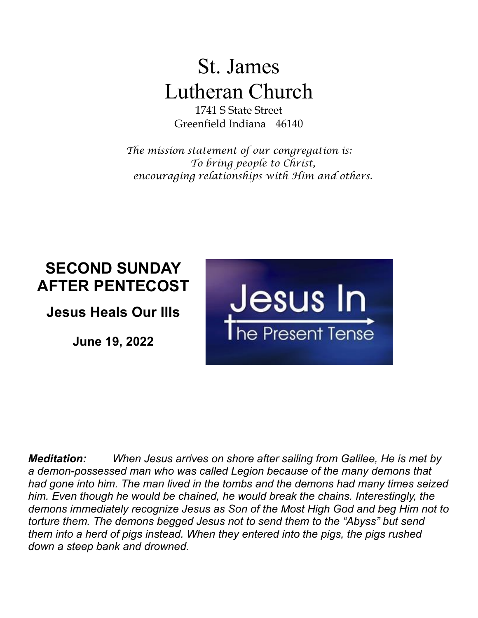# St. James Lutheran Church

1741 S State Street Greenfield Indiana 46140

*The mission statement of our congregation is: To bring people to Christ, encouraging relationships with Him and others.*



*Meditation: When Jesus arrives on shore after sailing from Galilee, He is met by a demon-possessed man who was called Legion because of the many demons that had gone into him. The man lived in the tombs and the demons had many times seized him. Even though he would be chained, he would break the chains. Interestingly, the demons immediately recognize Jesus as Son of the Most High God and beg Him not to torture them. The demons begged Jesus not to send them to the "Abyss" but send them into a herd of pigs instead. When they entered into the pigs, the pigs rushed down a steep bank and drowned.*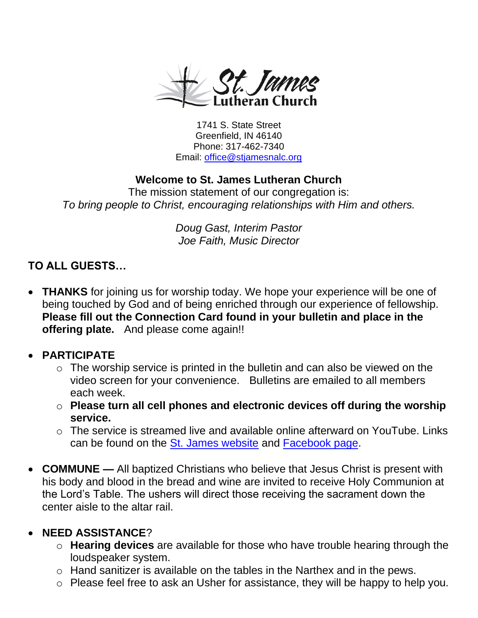

1741 S. State Street Greenfield, IN 46140 Phone: 317-462-7340 Email: [office@stjamesnalc.org](about:blank)

# **Welcome to St. James Lutheran Church**

The mission statement of our congregation is: *To bring people to Christ, encouraging relationships with Him and others.*

> *Doug Gast, Interim Pastor Joe Faith, Music Director*

# **TO ALL GUESTS…**

• **THANKS** for joining us for worship today. We hope your experience will be one of being touched by God and of being enriched through our experience of fellowship. **Please fill out the Connection Card found in your bulletin and place in the offering plate.** And please come again!!

## • **PARTICIPATE**

- o The worship service is printed in the bulletin and can also be viewed on the video screen for your convenience. Bulletins are emailed to all members each week.
- o **Please turn all cell phones and electronic devices off during the worship service.**
- $\circ$  The service is streamed live and available online afterward on YouTube. Links can be found on the [St. James website](about:blank) and [Facebook page.](about:blank)
- **COMMUNE —** All baptized Christians who believe that Jesus Christ is present with his body and blood in the bread and wine are invited to receive Holy Communion at the Lord's Table. The ushers will direct those receiving the sacrament down the center aisle to the altar rail.

## • **NEED ASSISTANCE**?

- o **Hearing devices** are available for those who have trouble hearing through the loudspeaker system.
- o Hand sanitizer is available on the tables in the Narthex and in the pews.
- o Please feel free to ask an Usher for assistance, they will be happy to help you.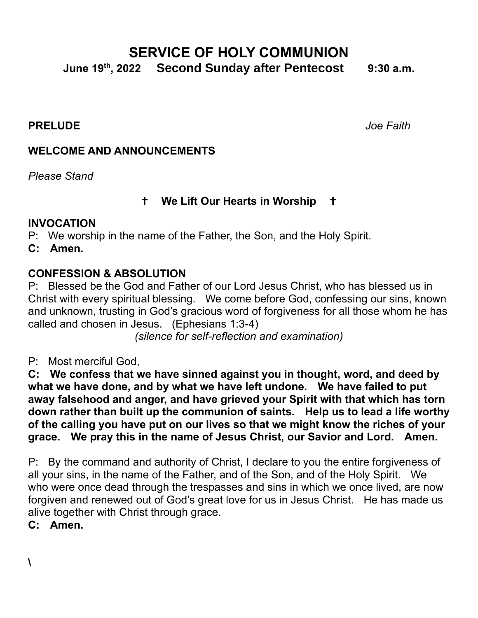# **SERVICE OF HOLY COMMUNION June 19th, 2022 Second Sunday after Pentecost 9:30 a.m.**

#### **PRELUDE** *Joe Faith*

#### **WELCOME AND ANNOUNCEMENTS**

*Please Stand*

## **We Lift Our Hearts in Worship**

#### **INVOCATION**

P: We worship in the name of the Father, the Son, and the Holy Spirit.

**C: Amen.**

#### **CONFESSION & ABSOLUTION**

P: Blessed be the God and Father of our Lord Jesus Christ, who has blessed us in Christ with every spiritual blessing. We come before God, confessing our sins, known and unknown, trusting in God's gracious word of forgiveness for all those whom he has called and chosen in Jesus. (Ephesians 1:3-4)

*(silence for self-reflection and examination)*

P: Most merciful God,

**C: We confess that we have sinned against you in thought, word, and deed by what we have done, and by what we have left undone. We have failed to put away falsehood and anger, and have grieved your Spirit with that which has torn down rather than built up the communion of saints. Help us to lead a life worthy of the calling you have put on our lives so that we might know the riches of your grace. We pray this in the name of Jesus Christ, our Savior and Lord. Amen.** 

P: By the command and authority of Christ, I declare to you the entire forgiveness of all your sins, in the name of the Father, and of the Son, and of the Holy Spirit. We who were once dead through the trespasses and sins in which we once lived, are now forgiven and renewed out of God's great love for us in Jesus Christ. He has made us alive together with Christ through grace.

#### **C: Amen.**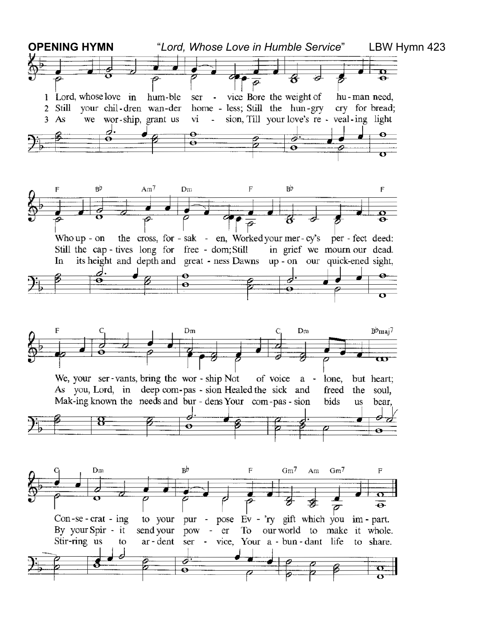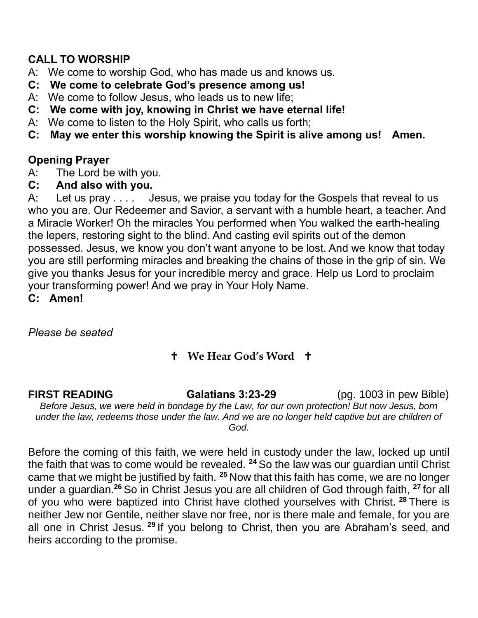## **CALL TO WORSHIP**

- A: We come to worship God, who has made us and knows us.
- **C: We come to celebrate God's presence among us!**
- A: We come to follow Jesus, who leads us to new life;
- **C: We come with joy, knowing in Christ we have eternal life!**
- A: We come to listen to the Holy Spirit, who calls us forth;
- **C: May we enter this worship knowing the Spirit is alive among us! Amen.**

# **Opening Prayer**

- A: The Lord be with you.
- **C: And also with you.**

A: Let us pray . . . . Jesus, we praise you today for the Gospels that reveal to us who you are. Our Redeemer and Savior, a servant with a humble heart, a teacher. And a Miracle Worker! Oh the miracles You performed when You walked the earth-healing the lepers, restoring sight to the blind. And casting evil spirits out of the demon possessed. Jesus, we know you don't want anyone to be lost. And we know that today you are still performing miracles and breaking the chains of those in the grip of sin. We give you thanks Jesus for your incredible mercy and grace. Help us Lord to proclaim your transforming power! And we pray in Your Holy Name.

**C:****Amen!**

## *Please be seated*

# **We Hear God's Word**

**FIRST READING Galatians 3:23-29** (pg. 1003 in pew Bible) *Before Jesus, we were held in bondage by the Law, for our own protection! But now Jesus, born under the law, redeems those under the law. And we are no longer held captive but are children of God.*

Before the coming of this faith, we were held in custody under the law, locked up until the faith that was to come would be revealed. **<sup>24</sup>** So the law was our guardian until Christ came that we might be justified by faith. **<sup>25</sup>** Now that this faith has come, we are no longer under a guardian.**<sup>26</sup>** So in Christ Jesus you are all children of God through faith, **<sup>27</sup>** for all of you who were baptized into Christ have clothed yourselves with Christ. **<sup>28</sup>** There is neither Jew nor Gentile, neither slave nor free, nor is there male and female, for you are all one in Christ Jesus. **<sup>29</sup>** If you belong to Christ, then you are Abraham's seed, and heirs according to the promise.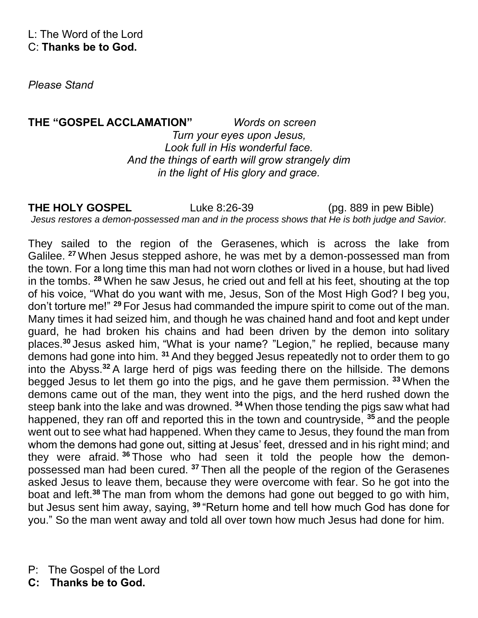*Please Stand*

## **THE "GOSPEL ACCLAMATION"** *Words on screen Turn your eyes upon Jesus, Look full in His wonderful face. And the things of earth will grow strangely dim in the light of His glory and grace.*

**THE HOLY GOSPEL** Luke 8:26-39(pg. 889 in pew Bible) *Jesus restores a demon-possessed man and in the process shows that He is both judge and Savior.*

They sailed to the region of the Gerasenes, which is across the lake from Galilee. **<sup>27</sup>** When Jesus stepped ashore, he was met by a demon-possessed man from the town. For a long time this man had not worn clothes or lived in a house, but had lived in the tombs. **<sup>28</sup>** When he saw Jesus, he cried out and fell at his feet, shouting at the top of his voice, "What do you want with me, Jesus, Son of the Most High God? I beg you, don't torture me!" **<sup>29</sup>** For Jesus had commanded the impure spirit to come out of the man. Many times it had seized him, and though he was chained hand and foot and kept under guard, he had broken his chains and had been driven by the demon into solitary places.**<sup>30</sup>** Jesus asked him, "What is your name? "Legion," he replied, because many demons had gone into him. **<sup>31</sup>** And they begged Jesus repeatedly not to order them to go into the Abyss.**<sup>32</sup>** A large herd of pigs was feeding there on the hillside. The demons begged Jesus to let them go into the pigs, and he gave them permission. **<sup>33</sup>** When the demons came out of the man, they went into the pigs, and the herd rushed down the steep bank into the lake and was drowned. **<sup>34</sup>** When those tending the pigs saw what had happened, they ran off and reported this in the town and countryside, **<sup>35</sup>** and the people went out to see what had happened. When they came to Jesus, they found the man from whom the demons had gone out, sitting at Jesus' feet, dressed and in his right mind; and they were afraid. **<sup>36</sup>** Those who had seen it told the people how the demonpossessed man had been cured. **<sup>37</sup>** Then all the people of the region of the Gerasenes asked Jesus to leave them, because they were overcome with fear. So he got into the boat and left.**<sup>38</sup>** The man from whom the demons had gone out begged to go with him, but Jesus sent him away, saying, **<sup>39</sup>** "Return home and tell how much God has done for you." So the man went away and told all over town how much Jesus had done for him.

- P: The Gospel of the Lord
- **C: Thanks be to God.**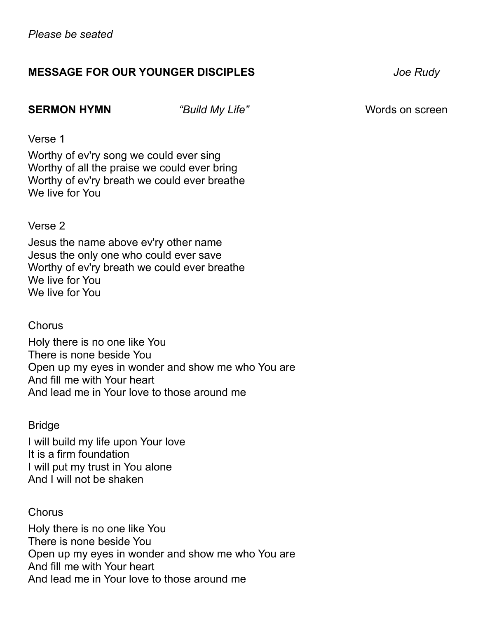# **MESSAGE FOR OUR YOUNGER DISCIPLES** *Joe Rudy*

#### **SERMON HYMN** *"Build My Life"* Words on screen

#### Verse 1

Worthy of ev'ry song we could ever sing Worthy of all the praise we could ever bring Worthy of ev'ry breath we could ever breathe We live for You

#### Verse 2

Jesus the name above ev'ry other name Jesus the only one who could ever save Worthy of ev'ry breath we could ever breathe We live for You We live for You

## **Chorus**

Holy there is no one like You There is none beside You Open up my eyes in wonder and show me who You are And fill me with Your heart And lead me in Your love to those around me

## Bridge

I will build my life upon Your love It is a firm foundation I will put my trust in You alone And I will not be shaken

# **Chorus**

Holy there is no one like You There is none beside You Open up my eyes in wonder and show me who You are And fill me with Your heart And lead me in Your love to those around me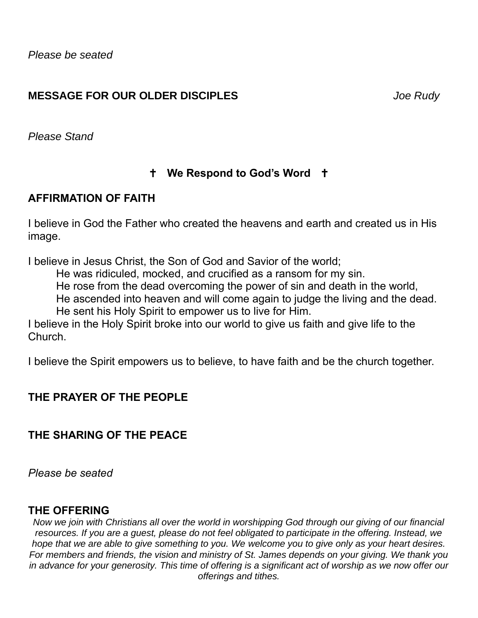# **MESSAGE FOR OUR OLDER DISCIPLES** *Joe Rudy*

*Please Stand*

## **We Respond to God's Word**

## **AFFIRMATION OF FAITH**

I believe in God the Father who created the heavens and earth and created us in His image.

I believe in Jesus Christ, the Son of God and Savior of the world;

He was ridiculed, mocked, and crucified as a ransom for my sin.

He rose from the dead overcoming the power of sin and death in the world,

He ascended into heaven and will come again to judge the living and the dead. He sent his Holy Spirit to empower us to live for Him.

I believe in the Holy Spirit broke into our world to give us faith and give life to the Church.

I believe the Spirit empowers us to believe, to have faith and be the church together.

# **THE PRAYER OF THE PEOPLE**

# **THE SHARING OF THE PEACE**

*Please be seated*

#### **THE OFFERING**

*Now we join with Christians all over the world in worshipping God through our giving of our financial resources. If you are a guest, please do not feel obligated to participate in the offering. Instead, we hope that we are able to give something to you. We welcome you to give only as your heart desires. For members and friends, the vision and ministry of St. James depends on your giving. We thank you in advance for your generosity. This time of offering is a significant act of worship as we now offer our offerings and tithes.*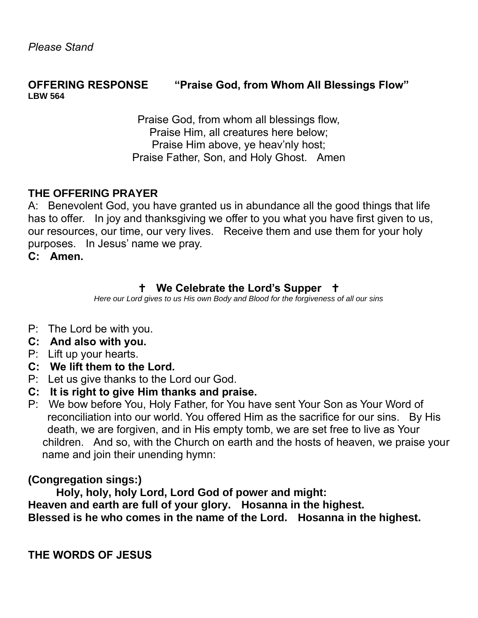#### **OFFERING RESPONSE "Praise God, from Whom All Blessings Flow" LBW 564**

Praise God, from whom all blessings flow, Praise Him, all creatures here below; Praise Him above, ye heav'nly host; Praise Father, Son, and Holy Ghost. Amen

## **THE OFFERING PRAYER**

A: Benevolent God, you have granted us in abundance all the good things that life has to offer. In joy and thanksgiving we offer to you what you have first given to us, our resources, our time, our very lives. Receive them and use them for your holy purposes. In Jesus' name we pray.

**C: Amen.** 

# **We Celebrate the Lord's Supper**

*Here our Lord gives to us His own Body and Blood for the forgiveness of all our sins*

- P: The Lord be with you.
- **C: And also with you.**
- P: Lift up your hearts.
- **C: We lift them to the Lord.**
- P: Let us give thanks to the Lord our God.
- **C: It is right to give Him thanks and praise.**
- P: We bow before You, Holy Father, for You have sent Your Son as Your Word of reconciliation into our world. You offered Him as the sacrifice for our sins. By His death, we are forgiven, and in His empty tomb, we are set free to live as Your children. And so, with the Church on earth and the hosts of heaven, we praise your name and join their unending hymn:

## **(Congregation sings:)**

**Holy, holy, holy Lord, Lord God of power and might: Heaven and earth are full of your glory. Hosanna in the highest. Blessed is he who comes in the name of the Lord. Hosanna in the highest.**

**THE WORDS OF JESUS**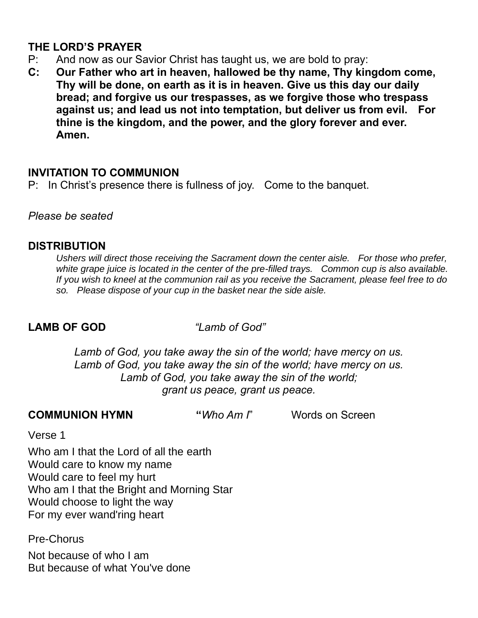## **THE LORD'S PRAYER**

- P: And now as our Savior Christ has taught us, we are bold to pray:
- **C: Our Father who art in heaven, hallowed be thy name, Thy kingdom come, Thy will be done, on earth as it is in heaven. Give us this day our daily bread; and forgive us our trespasses, as we forgive those who trespass against us; and lead us not into temptation, but deliver us from evil. For thine is the kingdom, and the power, and the glory forever and ever. Amen.**

#### **INVITATION TO COMMUNION**

P: In Christ's presence there is fullness of joy. Come to the banquet.

*Please be seated*

#### **DISTRIBUTION**

*Ushers will direct those receiving the Sacrament down the center aisle. For those who prefer, white grape juice is located in the center of the pre-filled trays. Common cup is also available. If you wish to kneel at the communion rail as you receive the Sacrament, please feel free to do so. Please dispose of your cup in the basket near the side aisle.*

## **LAMB OF GOD** *"Lamb of God"*

*Lamb of God, you take away the sin of the world; have mercy on us. Lamb of God, you take away the sin of the world; have mercy on us. Lamb of God, you take away the sin of the world; grant us peace, grant us peace.*

#### **COMMUNION HYMN** "*Who Am I*" Words on Screen

Verse 1

Who am I that the Lord of all the earth Would care to know my name Would care to feel my hurt Who am I that the Bright and Morning Star Would choose to light the way For my ever wand'ring heart

Pre-Chorus

Not because of who I am But because of what You've done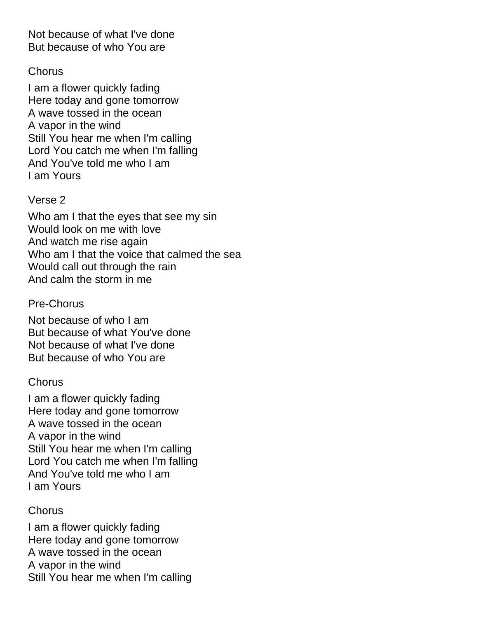Not because of what I've done But because of who You are

#### **Chorus**

I am a flower quickly fading Here today and gone tomorrow A wave tossed in the ocean A vapor in the wind Still You hear me when I'm calling Lord You catch me when I'm falling And You've told me who I am I am Yours

## Verse 2

Who am I that the eyes that see my sin Would look on me with love And watch me rise again Who am I that the voice that calmed the sea Would call out through the rain And calm the storm in me

# Pre-Chorus

Not because of who I am But because of what You've done Not because of what I've done But because of who You are

# **Chorus**

I am a flower quickly fading Here today and gone tomorrow A wave tossed in the ocean A vapor in the wind Still You hear me when I'm calling Lord You catch me when I'm falling And You've told me who I am I am Yours

# **Chorus**

I am a flower quickly fading Here today and gone tomorrow A wave tossed in the ocean A vapor in the wind Still You hear me when I'm calling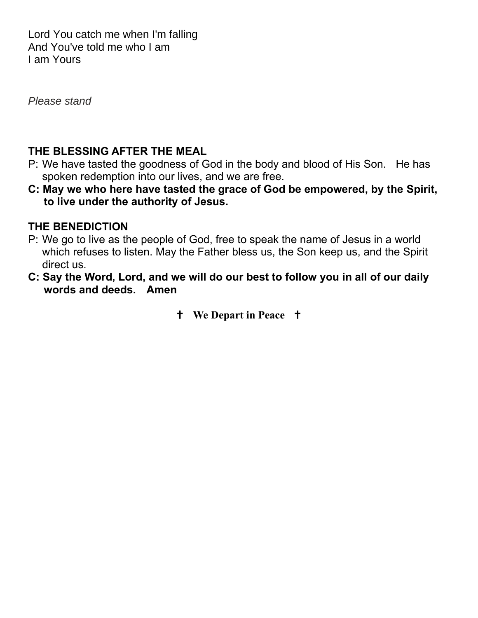Lord You catch me when I'm falling And You've told me who I am I am Yours

*Please stand*

# **THE BLESSING AFTER THE MEAL**

- P: We have tasted the goodness of God in the body and blood of His Son. He has spoken redemption into our lives, and we are free.
- **C: May we who here have tasted the grace of God be empowered, by the Spirit, to live under the authority of Jesus.**

## **THE BENEDICTION**

- P: We go to live as the people of God, free to speak the name of Jesus in a world which refuses to listen. May the Father bless us, the Son keep us, and the Spirit direct us.
- **C: Say the Word, Lord, and we will do our best to follow you in all of our daily words and deeds. Amen**

 **We Depart in Peace**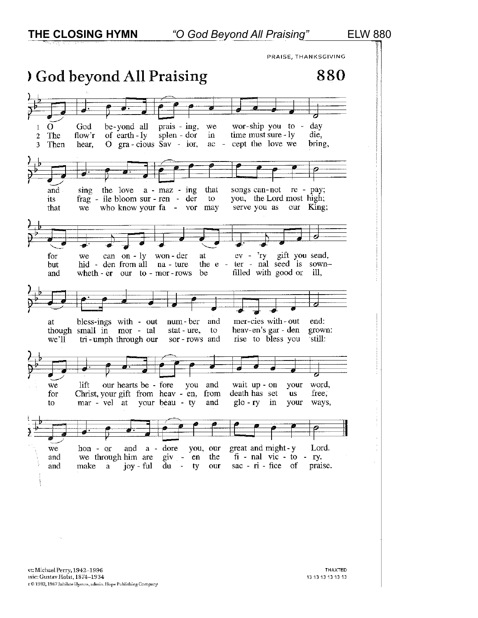**THE CLOSING HYMN** *"O God Beyond All Praising"* ELW 880

PRAISE, THANKSGIVING God beyond All Praising 880 day  $\overline{O}$ be-yond all prais - ing, wor-ship you to -God we  $\mathbf{1}$ splen - dor in time must sure - ly die, The flow'r of earth -  $Iy$  $\overline{2}$  $O$  gra-cious  $Sav - ior$ , ac - cept the love we bring,  $\overline{3}$ Then hear, and sing the love  $a - max - ing$ that songs can-not re - pay; you, the Lord most high; its frag - ile bloom sur - ren - der to serve you as our King; that who know your fa - vor may we ev - 'ry gift you send,<br>ter - nal seed is sowncan on  $-1y$ won - der at for we hid - den from all na - ture the  $e$ but filled with good or ill, wheth - er our to - mor-rows be and num-ber and mer-cies with-out end: at bless-ings with - out heav-en's gar - den grown: though small in mor - tal stat - ure, to sor - rows and rise to bless you still: we'll tri-umph through our our hearts be - fore you and word, we lift wait up - on your Christ, your gift from heav - en, from death has set for **us** free: mar - vel at your beau - ty  $g$ lo - ry in to and your ways, and a - dore you, our great and might-y Lord.  $hon - or$ we  $\overrightarrow{h}$  - nal vic - to - ry. the we through him are  $giv - en$ and sac - ri - fice of and make a joy - ful  $du$ our praise. ty